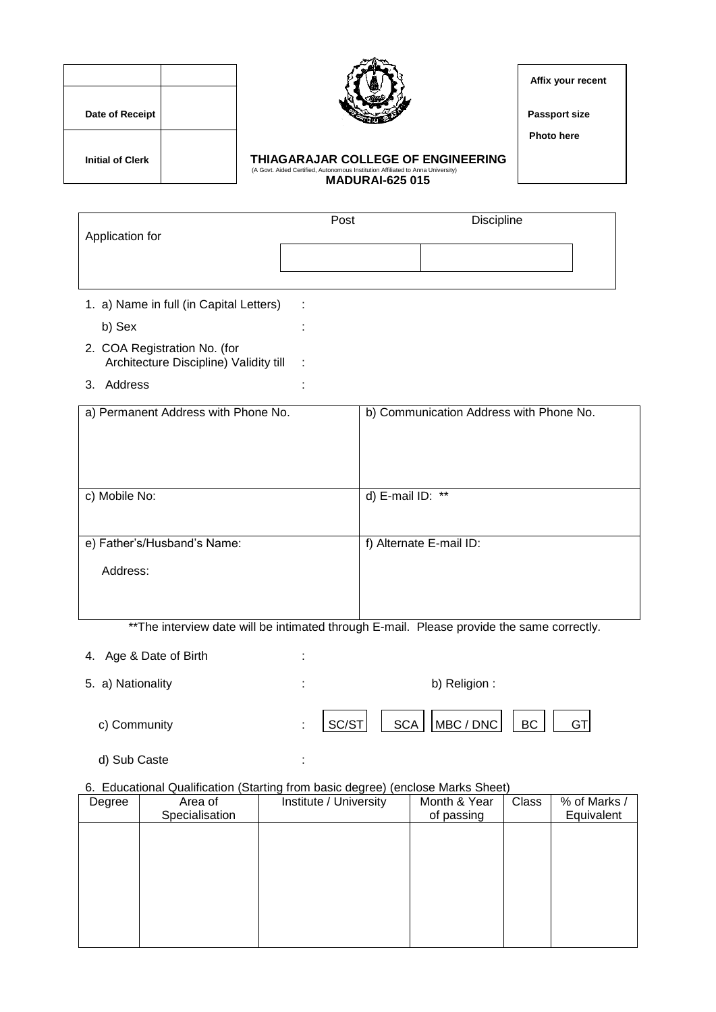| Date of Receipt         |  |
|-------------------------|--|
| <b>Initial of Clerk</b> |  |



 **Affix your recent**

**Passport size** 

 **Photo here** 

## **Initial of Clerk COLLEGE OF ENGINEERING**<br>
(A Govt. Aided Certified, Autonomous Institution Affiliated to Anna University)  **MADURAI-625 015**

| Application for | Post | <b>Discipline</b> |  |
|-----------------|------|-------------------|--|
|                 |      |                   |  |

- 1. a) Name in full (in Capital Letters) : b) Sex :
- 2. COA Registration No. (for Architecture Discipline) Validity till :
- 3. Address :

| a) Permanent Address with Phone No. | b) Communication Address with Phone No. |
|-------------------------------------|-----------------------------------------|
| c) Mobile No:                       | d) E-mail ID: **                        |
| e) Father's/Husband's Name:         | f) Alternate E-mail ID:                 |
| Address:                            |                                         |

\*\*The interview date will be intimated through E-mail. Please provide the same correctly.

4. Age & Date of Birth :

| 5. a) Nationality | b) Religion : |  |                                                           |  |  |
|-------------------|---------------|--|-----------------------------------------------------------|--|--|
| c) Community      |               |  | $ \text{SC/ST} $ $ $ SCA $ \text{MBC/DNC} $ $ $ BC $ $ GT |  |  |

d) Sub Caste :

### 6. Educational Qualification (Starting from basic degree) (enclose Marks Sheet)

| Degree | Area of        | Institute / University | Month & Year | Class | % of Marks / |
|--------|----------------|------------------------|--------------|-------|--------------|
|        | Specialisation |                        | of passing   |       | Equivalent   |
|        |                |                        |              |       |              |
|        |                |                        |              |       |              |
|        |                |                        |              |       |              |
|        |                |                        |              |       |              |
|        |                |                        |              |       |              |
|        |                |                        |              |       |              |
|        |                |                        |              |       |              |
|        |                |                        |              |       |              |
|        |                |                        |              |       |              |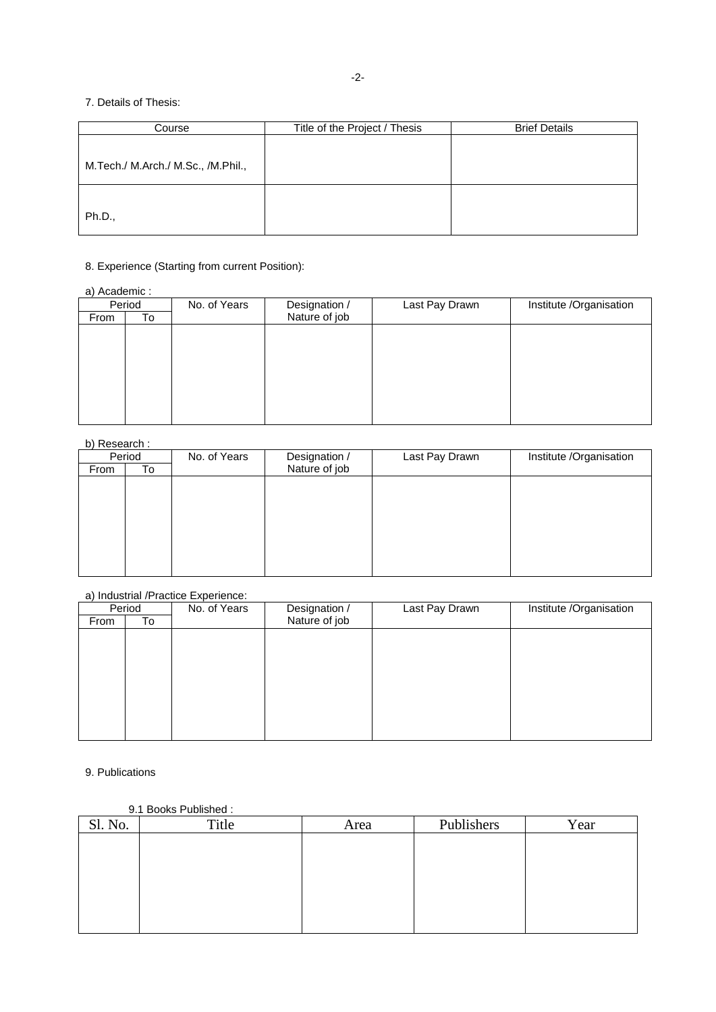### 7. Details of Thesis:

| Course                             | Title of the Project / Thesis | <b>Brief Details</b> |
|------------------------------------|-------------------------------|----------------------|
|                                    |                               |                      |
| M.Tech./ M.Arch./ M.Sc., /M.Phil., |                               |                      |
| Ph.D.,                             |                               |                      |

## 8. Experience (Starting from current Position):

#### a) Academic :

|      | Period<br>No. of Years |  | Designation / | Last Pay Drawn | Institute /Organisation |
|------|------------------------|--|---------------|----------------|-------------------------|
| From | To                     |  | Nature of job |                |                         |
|      |                        |  |               |                |                         |
|      |                        |  |               |                |                         |
|      |                        |  |               |                |                         |
|      |                        |  |               |                |                         |
|      |                        |  |               |                |                         |
|      |                        |  |               |                |                         |
|      |                        |  |               |                |                         |
|      |                        |  |               |                |                         |

### b) Research :

| .    |        |              |               |                |                         |
|------|--------|--------------|---------------|----------------|-------------------------|
|      | Period | No. of Years | Designation / | Last Pay Drawn | Institute /Organisation |
| From | To     |              | Nature of job |                |                         |
|      |        |              |               |                |                         |
|      |        |              |               |                |                         |
|      |        |              |               |                |                         |
|      |        |              |               |                |                         |
|      |        |              |               |                |                         |
|      |        |              |               |                |                         |
|      |        |              |               |                |                         |
|      |        |              |               |                |                         |

#### a) Industrial /Practice Experience:

|      | Period | No. of Years | Designation / | Last Pay Drawn | Institute /Organisation |
|------|--------|--------------|---------------|----------------|-------------------------|
| From | To     |              | Nature of job |                |                         |
|      |        |              |               |                |                         |
|      |        |              |               |                |                         |
|      |        |              |               |                |                         |
|      |        |              |               |                |                         |
|      |        |              |               |                |                         |
|      |        |              |               |                |                         |
|      |        |              |               |                |                         |
|      |        |              |               |                |                         |
|      |        |              |               |                |                         |

### 9. Publications

#### 9.1 Books Published :

| Sl. No. | Title | Area | Publishers | Year |
|---------|-------|------|------------|------|
|         |       |      |            |      |
|         |       |      |            |      |
|         |       |      |            |      |
|         |       |      |            |      |
|         |       |      |            |      |
|         |       |      |            |      |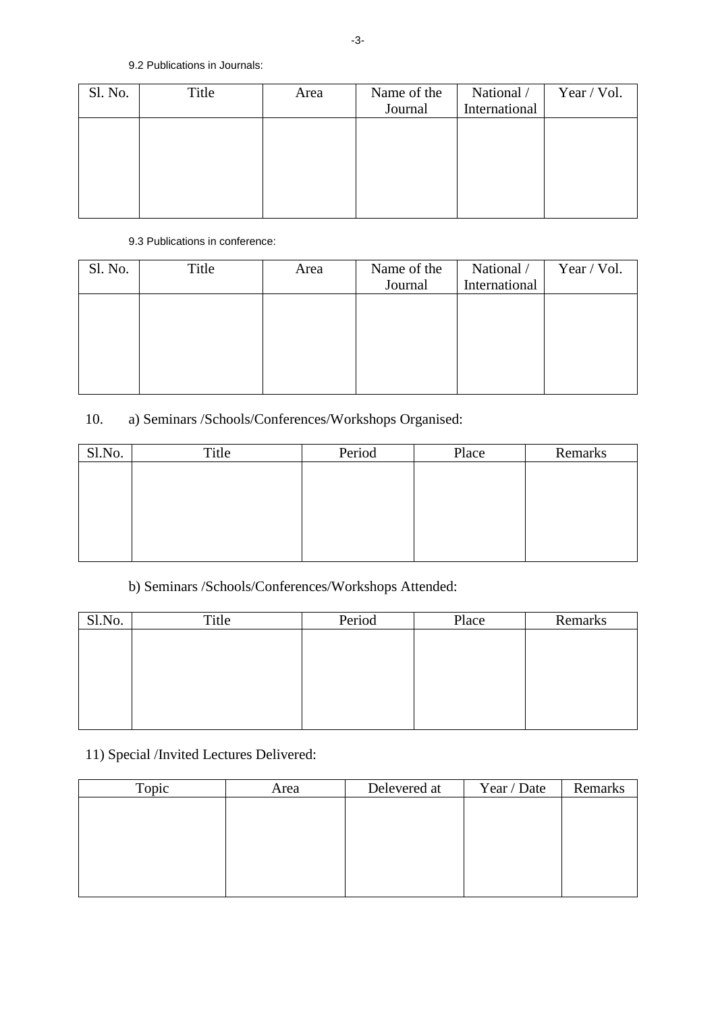| Sl. No. | Title | Area | Name of the<br>Journal | National /<br>International | Year / Vol. |
|---------|-------|------|------------------------|-----------------------------|-------------|
|         |       |      |                        |                             |             |
|         |       |      |                        |                             |             |
|         |       |      |                        |                             |             |

### 9.3 Publications in conference:

| Sl. No. | Title | Area | Name of the<br>Journal | National /<br>International | Year / Vol. |
|---------|-------|------|------------------------|-----------------------------|-------------|
|         |       |      |                        |                             |             |
|         |       |      |                        |                             |             |
|         |       |      |                        |                             |             |

# 10. a) Seminars /Schools/Conferences/Workshops Organised:

| Sl.No. | Title | Period | Place | Remarks |
|--------|-------|--------|-------|---------|
|        |       |        |       |         |
|        |       |        |       |         |
|        |       |        |       |         |
|        |       |        |       |         |
|        |       |        |       |         |
|        |       |        |       |         |

# b) Seminars /Schools/Conferences/Workshops Attended:

| Sl.No. | Title | Period | Place | Remarks |
|--------|-------|--------|-------|---------|
|        |       |        |       |         |
|        |       |        |       |         |
|        |       |        |       |         |
|        |       |        |       |         |
|        |       |        |       |         |
|        |       |        |       |         |

## 11) Special /Invited Lectures Delivered:

| Topic | Area | Delevered at | Year / Date | Remarks |
|-------|------|--------------|-------------|---------|
|       |      |              |             |         |
|       |      |              |             |         |
|       |      |              |             |         |
|       |      |              |             |         |
|       |      |              |             |         |
|       |      |              |             |         |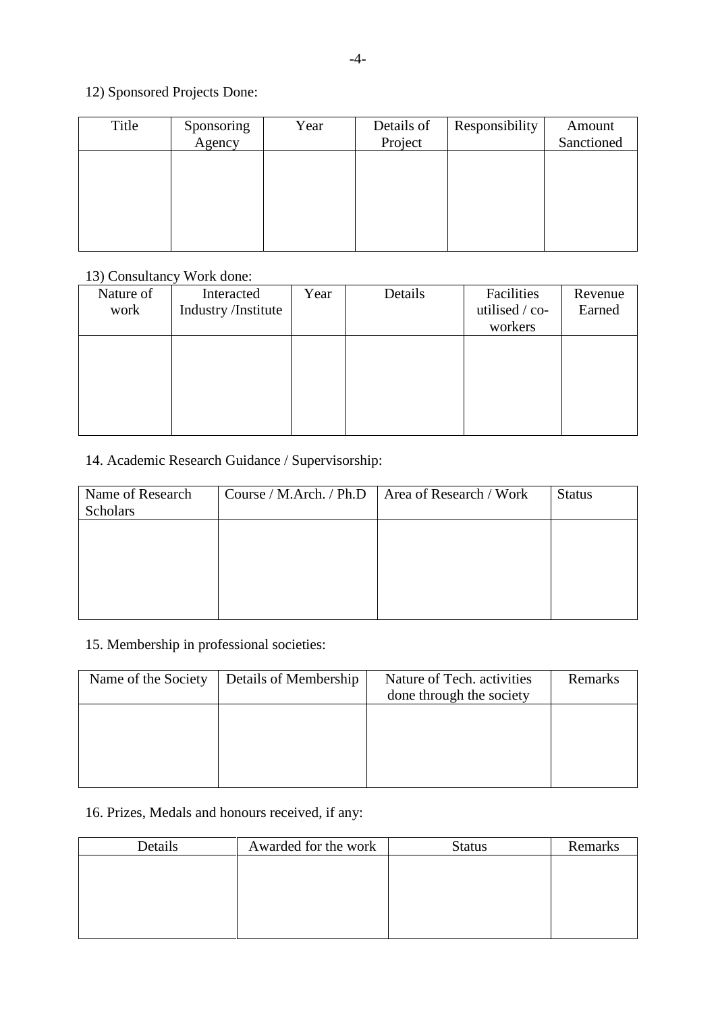## 12) Sponsored Projects Done:

| Title | Sponsoring<br>Agency | Year | Details of<br>Project | Responsibility | Amount<br>Sanctioned |
|-------|----------------------|------|-----------------------|----------------|----------------------|
|       |                      |      |                       |                |                      |
|       |                      |      |                       |                |                      |
|       |                      |      |                       |                |                      |

## 13) Consultancy Work done:

| Nature of<br>work | Interacted<br>Industry /Institute | Year | Details | Facilities<br>utilised / co-<br>workers | Revenue<br>Earned |
|-------------------|-----------------------------------|------|---------|-----------------------------------------|-------------------|
|                   |                                   |      |         |                                         |                   |

## 14. Academic Research Guidance / Supervisorship:

| Name of Research | Course / M.Arch. / Ph.D | Area of Research / Work | <b>Status</b> |
|------------------|-------------------------|-------------------------|---------------|
| <b>Scholars</b>  |                         |                         |               |
|                  |                         |                         |               |
|                  |                         |                         |               |
|                  |                         |                         |               |
|                  |                         |                         |               |
|                  |                         |                         |               |
|                  |                         |                         |               |

## 15. Membership in professional societies:

| Name of the Society | Details of Membership | Nature of Tech. activities<br>done through the society | Remarks |
|---------------------|-----------------------|--------------------------------------------------------|---------|
|                     |                       |                                                        |         |
|                     |                       |                                                        |         |
|                     |                       |                                                        |         |

# 16. Prizes, Medals and honours received, if any:

| Details | Awarded for the work | <b>Status</b> | Remarks |
|---------|----------------------|---------------|---------|
|         |                      |               |         |
|         |                      |               |         |
|         |                      |               |         |
|         |                      |               |         |
|         |                      |               |         |